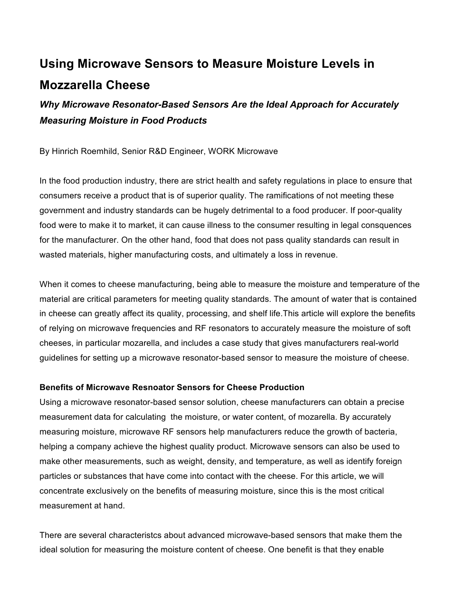# **Using Microwave Sensors to Measure Moisture Levels in Mozzarella Cheese**

# *Why Microwave Resonator-Based Sensors Are the Ideal Approach for Accurately Measuring Moisture in Food Products*

By Hinrich Roemhild, Senior R&D Engineer, WORK Microwave

In the food production industry, there are strict health and safety regulations in place to ensure that consumers receive a product that is of superior quality. The ramifications of not meeting these government and industry standards can be hugely detrimental to a food producer. If poor-quality food were to make it to market, it can cause illness to the consumer resulting in legal consquences for the manufacturer. On the other hand, food that does not pass quality standards can result in wasted materials, higher manufacturing costs, and ultimately a loss in revenue.

When it comes to cheese manufacturing, being able to measure the moisture and temperature of the material are critical parameters for meeting quality standards. The amount of water that is contained in cheese can greatly affect its quality, processing, and shelf life.This article will explore the benefits of relying on microwave frequencies and RF resonators to accurately measure the moisture of soft cheeses, in particular mozarella, and includes a case study that gives manufacturers real-world guidelines for setting up a microwave resonator-based sensor to measure the moisture of cheese.

# **Benefits of Microwave Resnoator Sensors for Cheese Production**

Using a microwave resonator-based sensor solution, cheese manufacturers can obtain a precise measurement data for calculating the moisture, or water content, of mozarella. By accurately measuring moisture, microwave RF sensors help manufacturers reduce the growth of bacteria, helping a company achieve the highest quality product. Microwave sensors can also be used to make other measurements, such as weight, density, and temperature, as well as identify foreign particles or substances that have come into contact with the cheese. For this article, we will concentrate exclusively on the benefits of measuring moisture, since this is the most critical measurement at hand.

There are several characteristcs about advanced microwave-based sensors that make them the ideal solution for measuring the moisture content of cheese. One benefit is that they enable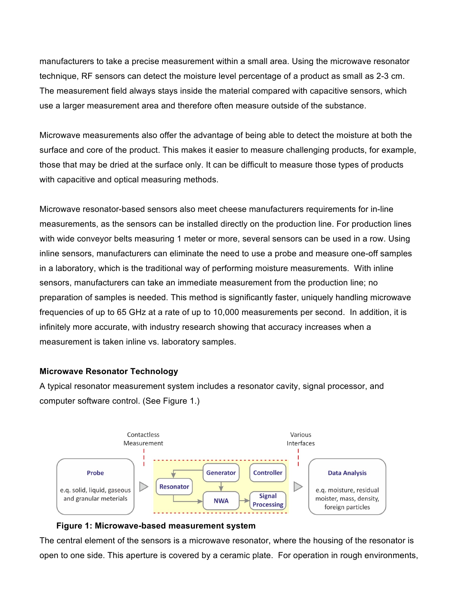manufacturers to take a precise measurement within a small area. Using the microwave resonator technique, RF sensors can detect the moisture level percentage of a product as small as 2-3 cm. The measurement field always stays inside the material compared with capacitive sensors, which use a larger measurement area and therefore often measure outside of the substance.

Microwave measurements also offer the advantage of being able to detect the moisture at both the surface and core of the product. This makes it easier to measure challenging products, for example, those that may be dried at the surface only. It can be difficult to measure those types of products with capacitive and optical measuring methods.

Microwave resonator-based sensors also meet cheese manufacturers requirements for in-line measurements, as the sensors can be installed directly on the production line. For production lines with wide conveyor belts measuring 1 meter or more, several sensors can be used in a row. Using inline sensors, manufacturers can eliminate the need to use a probe and measure one-off samples in a laboratory, which is the traditional way of performing moisture measurements. With inline sensors, manufacturers can take an immediate measurement from the production line; no preparation of samples is needed. This method is significantly faster, uniquely handling microwave frequencies of up to 65 GHz at a rate of up to 10,000 measurements per second. In addition, it is infinitely more accurate, with industry research showing that accuracy increases when a measurement is taken inline vs. laboratory samples.

# **Microwave Resonator Technology**

A typical resonator measurement system includes a resonator cavity, signal processor, and computer software control. (See Figure 1.)



# **Figure 1: Microwave-based measurement system**

The central element of the sensors is a microwave resonator, where the housing of the resonator is open to one side. This aperture is covered by a ceramic plate. For operation in rough environments,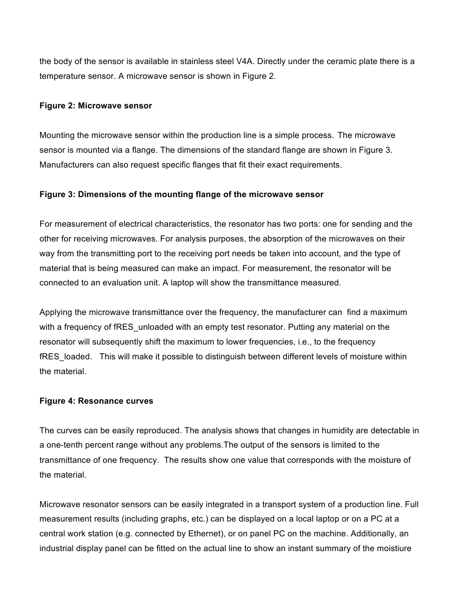the body of the sensor is available in stainless steel V4A. Directly under the ceramic plate there is a temperature sensor. A microwave sensor is shown in Figure 2.

#### **Figure 2: Microwave sensor**

Mounting the microwave sensor within the production line is a simple process. The microwave sensor is mounted via a flange. The dimensions of the standard flange are shown in Figure 3. Manufacturers can also request specific flanges that fit their exact requirements.

# **Figure 3: Dimensions of the mounting flange of the microwave sensor**

For measurement of electrical characteristics, the resonator has two ports: one for sending and the other for receiving microwaves. For analysis purposes, the absorption of the microwaves on their way from the transmitting port to the receiving port needs be taken into account, and the type of material that is being measured can make an impact. For measurement, the resonator will be connected to an evaluation unit. A laptop will show the transmittance measured.

Applying the microwave transmittance over the frequency, the manufacturer can find a maximum with a frequency of fRES unloaded with an empty test resonator. Putting any material on the resonator will subsequently shift the maximum to lower frequencies, i.e., to the frequency fRES loaded. This will make it possible to distinguish between different levels of moisture within the material.

#### **Figure 4: Resonance curves**

The curves can be easily reproduced. The analysis shows that changes in humidity are detectable in a one-tenth percent range without any problems.The output of the sensors is limited to the transmittance of one frequency. The results show one value that corresponds with the moisture of the material.

Microwave resonator sensors can be easily integrated in a transport system of a production line. Full measurement results (including graphs, etc.) can be displayed on a local laptop or on a PC at a central work station (e.g. connected by Ethernet), or on panel PC on the machine. Additionally, an industrial display panel can be fitted on the actual line to show an instant summary of the moistiure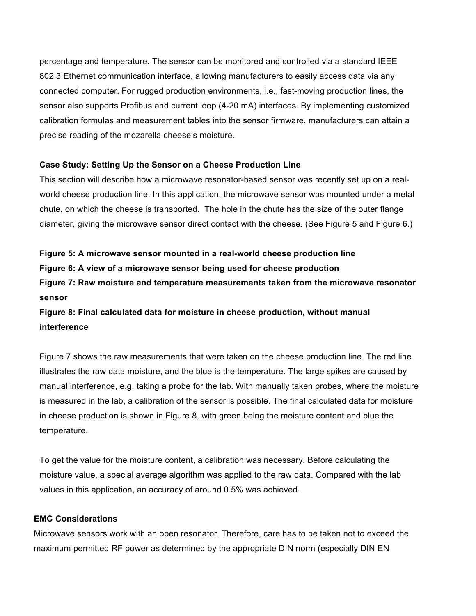percentage and temperature. The sensor can be monitored and controlled via a standard IEEE 802.3 Ethernet communication interface, allowing manufacturers to easily access data via any connected computer. For rugged production environments, i.e., fast-moving production lines, the sensor also supports Profibus and current loop (4-20 mA) interfaces. By implementing customized calibration formulas and measurement tables into the sensor firmware, manufacturers can attain a precise reading of the mozarella cheese's moisture.

#### **Case Study: Setting Up the Sensor on a Cheese Production Line**

This section will describe how a microwave resonator-based sensor was recently set up on a realworld cheese production line. In this application, the microwave sensor was mounted under a metal chute, on which the cheese is transported. The hole in the chute has the size of the outer flange diameter, giving the microwave sensor direct contact with the cheese. (See Figure 5 and Figure 6.)

**Figure 5: A microwave sensor mounted in a real-world cheese production line Figure 6: A view of a microwave sensor being used for cheese production Figure 7: Raw moisture and temperature measurements taken from the microwave resonator sensor**

**Figure 8: Final calculated data for moisture in cheese production, without manual interference**

Figure 7 shows the raw measurements that were taken on the cheese production line. The red line illustrates the raw data moisture, and the blue is the temperature. The large spikes are caused by manual interference, e.g. taking a probe for the lab. With manually taken probes, where the moisture is measured in the lab, a calibration of the sensor is possible. The final calculated data for moisture in cheese production is shown in Figure 8, with green being the moisture content and blue the temperature.

To get the value for the moisture content, a calibration was necessary. Before calculating the moisture value, a special average algorithm was applied to the raw data. Compared with the lab values in this application, an accuracy of around 0.5% was achieved.

# **EMC Considerations**

Microwave sensors work with an open resonator. Therefore, care has to be taken not to exceed the maximum permitted RF power as determined by the appropriate DIN norm (especially DIN EN